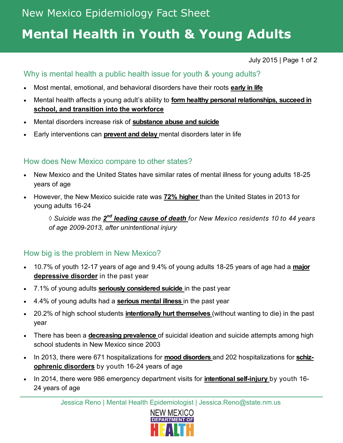# **Mental Health in Youth & Young Adults**

July 2015 | Page 1 of 2

### Why is mental health a public health issue for youth & young adults?

- Most mental, emotional, and behavioral disorders have their roots **early in life**
- Mental health affects a young adult's ability to **form healthy personal relationships, succeed in school, and transition into the workforce**
- Mental disorders increase risk of **substance abuse and suicide**
- Early interventions can **prevent and delay** mental disorders later in life

### How does New Mexico compare to other states?

- New Mexico and the United States have similar rates of mental illness for young adults 18-25 years of age
- However, the New Mexico suicide rate was **72% higher** than the United States in 2013 for young adults 16-24

 $\Diamond$  Suicide was the  $\mathbf{2}^{\mathsf{nd}}$  leading cause of death for New Mexico residents 10 to 44 years  $\Diamond$ *of age 2009-2013, after unintentional injury*

### How big is the problem in New Mexico?

- 10.7% of youth 12-17 years of age and 9.4% of young adults 18-25 years of age had a **major depressive disorder** in the past year
- 7.1% of young adults **seriously considered suicide** in the past year
- 4.4% of young adults had a **serious mental illness** in the past year
- 20.2% of high school students **intentionally hurt themselves** (without wanting to die) in the past year
- There has been a **decreasing prevalence** of suicidal ideation and suicide attempts among high school students in New Mexico since 2003
- In 2013, there were 671 hospitalizations for **mood disorders** and 202 hospitalizations for **schizophrenic disorders** by youth 16-24 years of age
- In 2014, there were 986 emergency department visits for **intentional self-injury** by youth 16- 24 years of age

Jessica Reno | Mental Health Epidemiologist | Jessica.Reno@state.nm.us